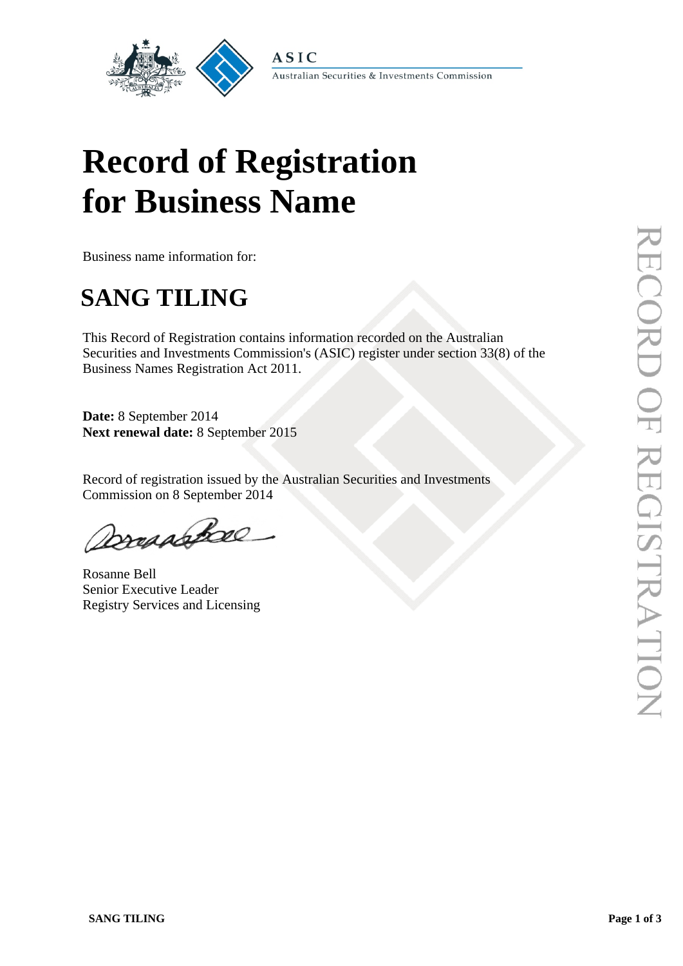

Australian Securities & Investments Commission

# **Record of Registration for Business Name**

**ASIC** 

Business name information for:

## **SANG TILING**

This Record of Registration contains information recorded on the Australian Securities and Investments Commission's (ASIC) register under section 33(8) of the Business Names Registration Act 2011.

**Date:** 8 September 2014 **Next renewal date:** 8 September 2015

Record of registration issued by the Australian Securities and Investments Commission on 8 September 2014

Dreadsbore

Rosanne Bell Senior Executive Leader Registry Services and Licensing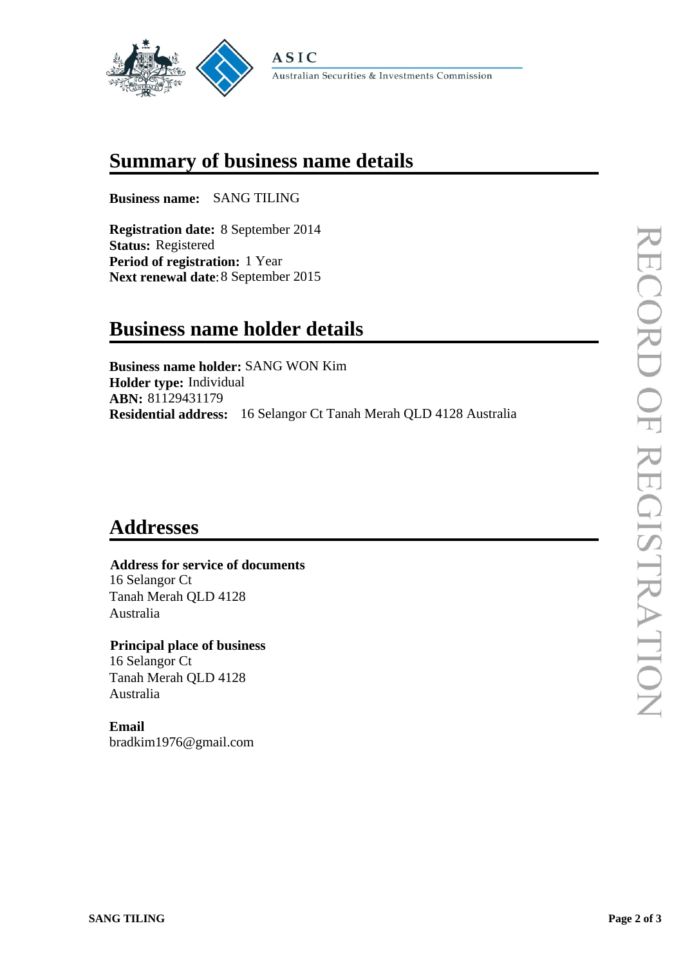

#### **Summary of business name details**

**Business name:** SANG TILING

**Registration date:** 8 September 2014 **Status:** Registered **Period of registration:** 1 Year **Next renewal date**:8 September 2015

## **Business name holder details**

**Business name holder:** SANG WON Kim **Holder type:** Individual **ABN:** 81129431179 **Residential address:** 16 Selangor Ct Tanah Merah QLD 4128 Australia

## **Addresses**

#### **Address for service of documents** 16 Selangor Ct Tanah Merah QLD 4128 Australia

 **Principal place of business** 16 Selangor Ct Tanah Merah QLD 4128 Australia

**Email** bradkim1976@gmail.com